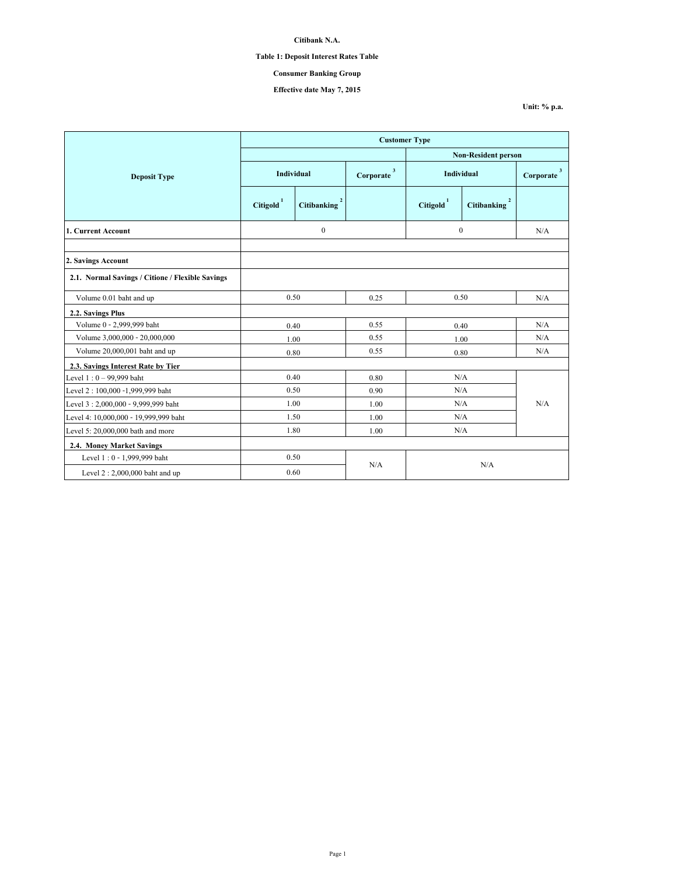# **Table 1: Deposit Interest Rates Table**

# **Consumer Banking Group**

## **Effective date May 7, 2015**

|                                                  | <b>Customer Type</b>  |                          |                           |                            |             |                                      |  |
|--------------------------------------------------|-----------------------|--------------------------|---------------------------|----------------------------|-------------|--------------------------------------|--|
|                                                  |                       |                          |                           | <b>Non-Resident person</b> |             |                                      |  |
| <b>Deposit Type</b>                              | Individual            |                          | $\mathbf{3}$<br>Corporate | Individual                 |             | $\overline{\mathbf{3}}$<br>Corporate |  |
|                                                  | Citigold <sup>1</sup> | Citibanking <sup>2</sup> |                           | $\text{Citigold}^1$        | Citibanking |                                      |  |
| 1. Current Account                               | $\boldsymbol{0}$      |                          |                           | $\theta$                   |             | N/A                                  |  |
| 2. Savings Account                               |                       |                          |                           |                            |             |                                      |  |
| 2.1. Normal Savings / Citione / Flexible Savings |                       |                          |                           |                            |             |                                      |  |
| Volume 0.01 baht and up                          | 0.50                  |                          | 0.25                      | 0.50                       |             | N/A                                  |  |
| 2.2. Savings Plus                                |                       |                          |                           |                            |             |                                      |  |
| Volume 0 - 2,999,999 baht                        | 0.40                  |                          | 0.55                      | 0.40                       |             | N/A                                  |  |
| Volume 3,000,000 - 20,000,000                    | 1.00                  |                          | 0.55                      | 1.00                       |             | N/A                                  |  |
| Volume 20,000,001 baht and up                    | 0.80                  |                          | 0.55                      | 0.80                       |             | N/A                                  |  |
| 2.3. Savings Interest Rate by Tier               |                       |                          |                           |                            |             |                                      |  |
| Level $1:0 - 99,999$ baht                        | 0.40                  |                          | 0.80                      | N/A                        |             |                                      |  |
| Level 2:100,000 -1,999,999 baht                  | 0.50                  |                          | 0.90                      | N/A                        |             |                                      |  |
| Level 3:2,000,000 - 9,999,999 baht               | 1.00                  |                          | 1.00                      | N/A                        |             | N/A                                  |  |
| Level 4: 10,000,000 - 19,999,999 baht            | 1.50                  |                          | 1.00                      | N/A                        |             |                                      |  |
| Level 5: 20,000,000 bath and more                | 1.80                  |                          | 1.00                      | N/A                        |             |                                      |  |
| 2.4. Money Market Savings                        |                       |                          |                           |                            |             |                                      |  |
| Level 1:0 - 1,999,999 baht                       | 0.50                  |                          |                           |                            |             |                                      |  |
| Level $2:2,000,000$ baht and up                  | 0.60                  |                          | N/A<br>N/A                |                            |             |                                      |  |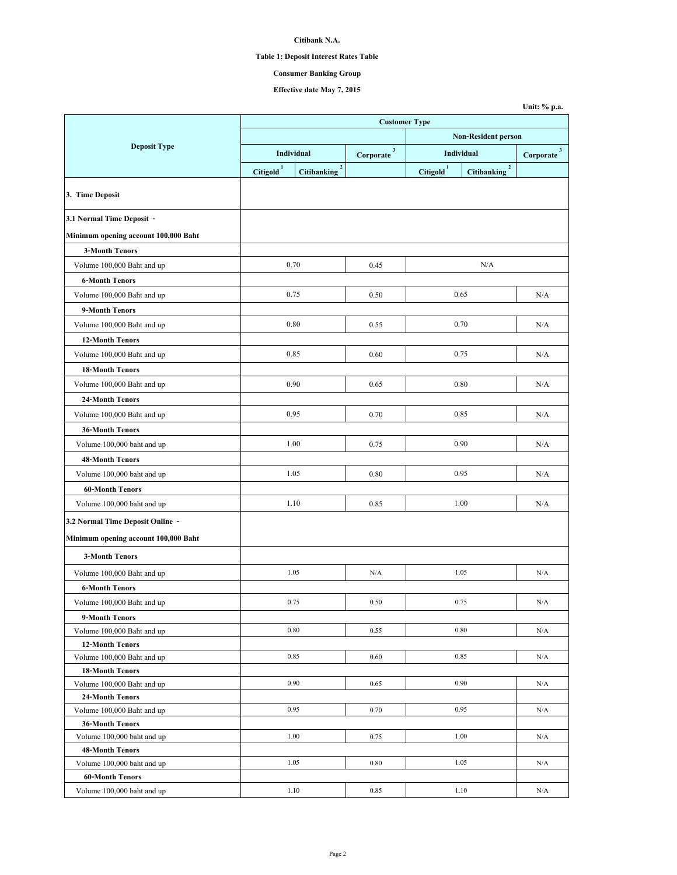# **Table 1: Deposit Interest Rates Table**

## **Consumer Banking Group**

**Unit: % p.a.**

**Effective date May 7, 2015**

|                                                                          |                            |                            | <b>Customer Type</b>   |                       |                            |                          |
|--------------------------------------------------------------------------|----------------------------|----------------------------|------------------------|-----------------------|----------------------------|--------------------------|
|                                                                          | <b>Non-Resident person</b> |                            |                        |                       |                            |                          |
| <b>Deposit Type</b>                                                      |                            | Individual                 |                        |                       | Individual                 | $Corporate$ <sup>3</sup> |
|                                                                          | Citigold <sup>1</sup>      | $\mathbf 2$<br>Citibanking | Corporate <sup>3</sup> | Citigold <sup>1</sup> | $\mathbf 2$<br>Citibanking |                          |
| 3. Time Deposit                                                          |                            |                            |                        |                       |                            |                          |
| 3.1 Normal Time Deposit -                                                |                            |                            |                        |                       |                            |                          |
| Minimum opening account 100,000 Baht                                     |                            |                            |                        |                       |                            |                          |
| <b>3-Month Tenors</b>                                                    |                            |                            |                        |                       |                            |                          |
| Volume 100,000 Baht and up                                               |                            | 0.70                       | 0.45                   |                       | N/A                        |                          |
| <b>6-Month Tenors</b>                                                    |                            |                            |                        |                       |                            |                          |
| Volume 100,000 Baht and up                                               |                            | 0.75                       | 0.50                   |                       | 0.65                       | N/A                      |
| 9-Month Tenors                                                           |                            |                            |                        |                       |                            |                          |
| Volume 100,000 Baht and up                                               |                            | 0.80                       | 0.55                   |                       | 0.70                       | N/A                      |
| <b>12-Month Tenors</b>                                                   |                            |                            |                        |                       |                            |                          |
| Volume 100,000 Baht and up                                               |                            | 0.85                       | 0.60                   |                       | 0.75                       | N/A                      |
|                                                                          |                            |                            |                        |                       |                            |                          |
| <b>18-Month Tenors</b>                                                   |                            | 0.90                       |                        |                       | 0.80                       |                          |
| Volume 100,000 Baht and up                                               |                            |                            | 0.65                   |                       |                            | N/A                      |
| 24-Month Tenors                                                          |                            |                            |                        |                       |                            |                          |
| Volume 100,000 Baht and up                                               |                            | 0.95                       | 0.70                   |                       | 0.85                       | N/A                      |
| <b>36-Month Tenors</b>                                                   |                            |                            |                        |                       |                            |                          |
| Volume 100,000 baht and up                                               |                            | 1.00                       | 0.75                   |                       | 0.90                       | N/A                      |
| <b>48-Month Tenors</b>                                                   |                            |                            |                        |                       |                            |                          |
| Volume 100,000 baht and up                                               |                            | 1.05                       | 0.80                   |                       | 0.95                       | N/A                      |
| <b>60-Month Tenors</b>                                                   |                            |                            |                        |                       |                            |                          |
| Volume 100,000 baht and up                                               |                            | 1.10                       | 0.85                   |                       | 1.00                       | N/A                      |
| 3.2 Normal Time Deposit Online -<br>Minimum opening account 100,000 Baht |                            |                            |                        |                       |                            |                          |
| <b>3-Month Tenors</b>                                                    |                            |                            |                        |                       |                            |                          |
|                                                                          |                            |                            |                        |                       |                            |                          |
| Volume 100,000 Baht and up                                               |                            | 1.05                       | N/A                    |                       | 1.05                       | N/A                      |
| <b>6-Month Tenors</b>                                                    |                            |                            |                        |                       |                            |                          |
| Volume 100,000 Baht and up                                               |                            | 0.75                       | 0.50                   |                       | 0.75                       | N/A                      |
| 9-Month Tenors                                                           |                            |                            |                        |                       |                            |                          |
| Volume 100,000 Baht and up                                               |                            | 0.80                       | 0.55                   |                       | 0.80                       | N/A                      |
| <b>12-Month Tenors</b>                                                   |                            |                            |                        |                       |                            |                          |
| Volume 100,000 Baht and up                                               |                            | 0.85                       | 0.60                   |                       | 0.85                       | N/A                      |
| <b>18-Month Tenors</b><br>Volume 100,000 Baht and up                     |                            | 0.90                       | 0.65                   |                       | 0.90                       | N/A                      |
| <b>24-Month Tenors</b>                                                   |                            |                            |                        |                       |                            |                          |
| Volume 100,000 Baht and up                                               |                            | 0.95                       | 0.70                   |                       | 0.95                       | N/A                      |
| <b>36-Month Tenors</b>                                                   |                            |                            |                        |                       |                            |                          |
| Volume 100,000 baht and up                                               |                            | 1.00                       | 0.75                   |                       | 1.00                       | N/A                      |
| <b>48-Month Tenors</b>                                                   |                            |                            |                        |                       |                            |                          |
| Volume 100,000 baht and up                                               |                            | 1.05                       | 0.80                   |                       | 1.05                       | N/A                      |
| <b>60-Month Tenors</b>                                                   |                            |                            |                        |                       |                            |                          |
| Volume 100,000 baht and up                                               |                            | 1.10                       | 0.85                   |                       | 1.10                       | N/A                      |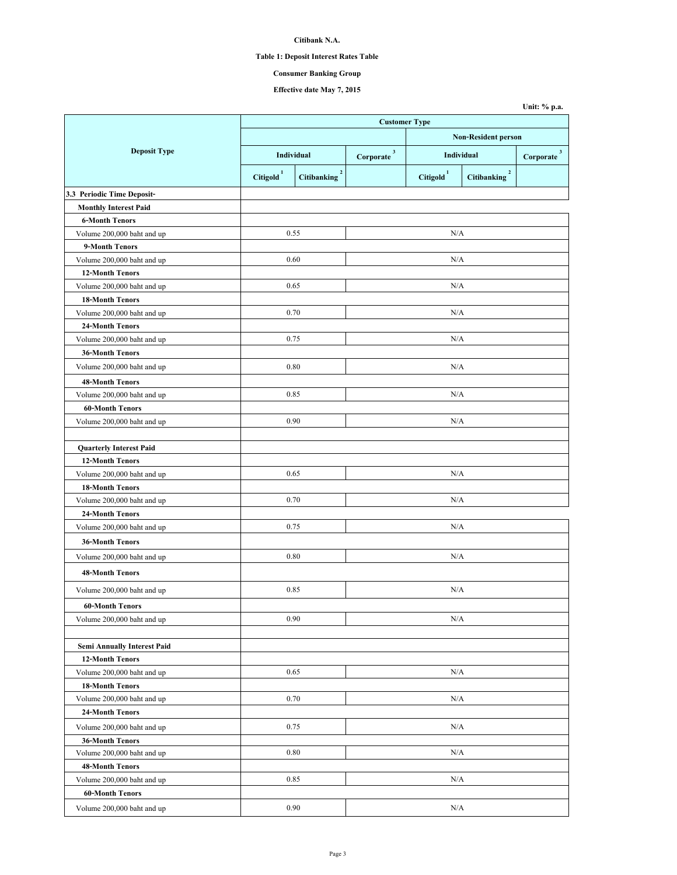# **Table 1: Deposit Interest Rates Table**

# **Consumer Banking Group**

**Effective date May 7, 2015**

|                                    |                            |                                        | <b>Customer Type</b>                            |                     |                                   |                         |
|------------------------------------|----------------------------|----------------------------------------|-------------------------------------------------|---------------------|-----------------------------------|-------------------------|
|                                    | <b>Non-Resident person</b> |                                        |                                                 |                     |                                   |                         |
| <b>Deposit Type</b>                | Individual                 |                                        | $\textbf{Corporate} \text{ }^{3}$<br>Individual |                     |                                   | $\overline{\mathbf{3}}$ |
|                                    |                            |                                        |                                                 |                     |                                   | Corporate               |
|                                    | Citigold <sup>1</sup>      | $\boldsymbol{2}$<br><b>Citibanking</b> |                                                 | $\text{Citigold}^1$ | $\mathbf 2$<br><b>Citibanking</b> |                         |
| 3.3 Periodic Time Deposit-         |                            |                                        |                                                 |                     |                                   |                         |
| <b>Monthly Interest Paid</b>       |                            |                                        |                                                 |                     |                                   |                         |
| <b>6-Month Tenors</b>              |                            |                                        |                                                 |                     |                                   |                         |
| Volume 200,000 baht and up         | 0.55                       |                                        |                                                 | N/A                 |                                   |                         |
| 9-Month Tenors                     |                            |                                        |                                                 |                     |                                   |                         |
| Volume 200,000 baht and up         | 0.60                       |                                        |                                                 | N/A                 |                                   |                         |
| <b>12-Month Tenors</b>             |                            |                                        |                                                 |                     |                                   |                         |
| Volume 200,000 baht and up         | 0.65                       |                                        |                                                 | N/A                 |                                   |                         |
| <b>18-Month Tenors</b>             |                            |                                        |                                                 |                     |                                   |                         |
| Volume 200,000 baht and up         | 0.70                       |                                        |                                                 | N/A                 |                                   |                         |
| 24-Month Tenors                    |                            |                                        |                                                 |                     |                                   |                         |
| Volume 200,000 baht and up         | 0.75                       |                                        |                                                 | N/A                 |                                   |                         |
| <b>36-Month Tenors</b>             |                            |                                        |                                                 |                     |                                   |                         |
| Volume 200,000 baht and up         | 0.80                       |                                        |                                                 | N/A                 |                                   |                         |
| <b>48-Month Tenors</b>             |                            |                                        |                                                 |                     |                                   |                         |
| Volume 200,000 baht and up         | 0.85                       |                                        |                                                 | N/A                 |                                   |                         |
| <b>60-Month Tenors</b>             |                            |                                        |                                                 |                     |                                   |                         |
| Volume 200,000 baht and up         | 0.90                       |                                        | N/A                                             |                     |                                   |                         |
|                                    |                            |                                        |                                                 |                     |                                   |                         |
| <b>Quarterly Interest Paid</b>     |                            |                                        |                                                 |                     |                                   |                         |
| <b>12-Month Tenors</b>             |                            |                                        |                                                 |                     |                                   |                         |
| Volume 200,000 baht and up         | 0.65                       |                                        |                                                 | N/A                 |                                   |                         |
| <b>18-Month Tenors</b>             |                            |                                        |                                                 |                     |                                   |                         |
| Volume 200,000 baht and up         | 0.70                       |                                        | N/A                                             |                     |                                   |                         |
| 24-Month Tenors                    |                            |                                        |                                                 |                     |                                   |                         |
| Volume 200,000 baht and up         | 0.75                       |                                        |                                                 | N/A                 |                                   |                         |
| <b>36-Month Tenors</b>             |                            |                                        |                                                 |                     |                                   |                         |
| Volume 200,000 baht and up         | 0.80                       |                                        |                                                 | N/A                 |                                   |                         |
|                                    |                            |                                        |                                                 |                     |                                   |                         |
| <b>48-Month Tenors</b>             |                            |                                        |                                                 |                     |                                   |                         |
| Volume 200,000 baht and up         | 0.85                       |                                        |                                                 | N/A                 |                                   |                         |
| <b>60-Month Tenors</b>             |                            |                                        |                                                 |                     |                                   |                         |
| Volume 200,000 baht and up         | 0.90                       |                                        | N/A                                             |                     |                                   |                         |
|                                    |                            |                                        |                                                 |                     |                                   |                         |
| <b>Semi Annually Interest Paid</b> |                            |                                        |                                                 |                     |                                   |                         |
| <b>12-Month Tenors</b>             |                            |                                        |                                                 |                     |                                   |                         |
| Volume 200,000 baht and up         | 0.65                       |                                        |                                                 | N/A                 |                                   |                         |
| <b>18-Month Tenors</b>             |                            |                                        |                                                 |                     |                                   |                         |
| Volume 200,000 baht and up         | 0.70                       |                                        | N/A                                             |                     |                                   |                         |
| 24-Month Tenors                    |                            |                                        |                                                 |                     |                                   |                         |
| Volume 200,000 baht and up         | 0.75                       |                                        | N/A                                             |                     |                                   |                         |
| <b>36-Month Tenors</b>             |                            |                                        |                                                 |                     |                                   |                         |
| Volume 200,000 baht and up         | 0.80                       |                                        |                                                 | N/A                 |                                   |                         |
| 48-Month Tenors                    |                            |                                        |                                                 |                     |                                   |                         |
| Volume 200,000 baht and up         | 0.85                       |                                        |                                                 | N/A                 |                                   |                         |
| <b>60-Month Tenors</b>             |                            |                                        |                                                 |                     |                                   |                         |
| Volume 200,000 baht and up         | 0.90                       |                                        |                                                 | N/A                 |                                   |                         |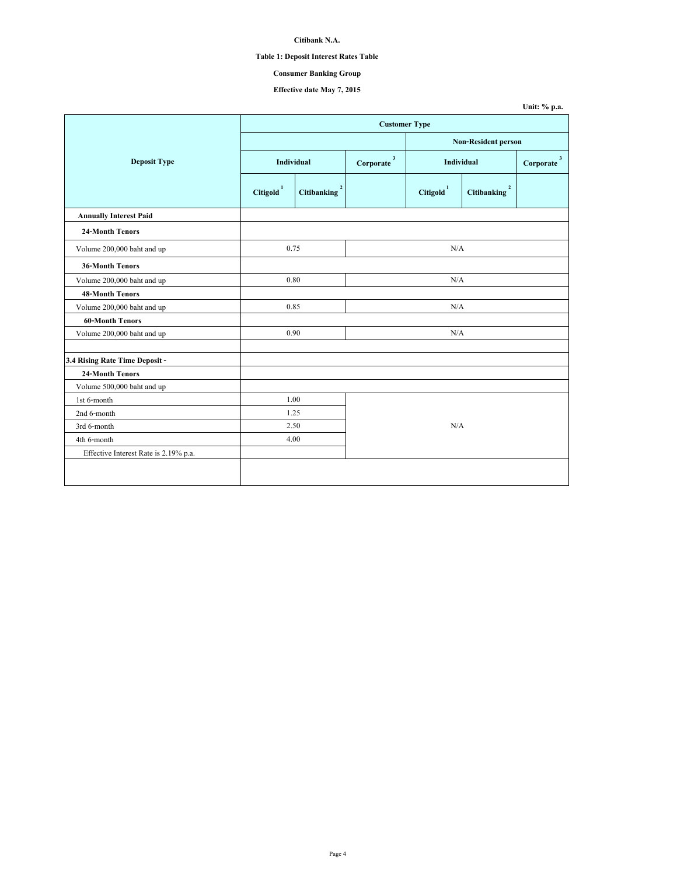# **Table 1: Deposit Interest Rates Table**

# **Consumer Banking Group**

**Effective date May 7, 2015**

|                                       |                       |                                   |                            |                     |                                   | Unit: % p.a.             |
|---------------------------------------|-----------------------|-----------------------------------|----------------------------|---------------------|-----------------------------------|--------------------------|
|                                       |                       |                                   | <b>Customer Type</b>       |                     |                                   |                          |
|                                       |                       |                                   | <b>Non-Resident person</b> |                     |                                   |                          |
| <b>Deposit Type</b>                   |                       | Individual                        |                            |                     | <b>Individual</b>                 | $Corporate$ <sup>3</sup> |
|                                       | Citigold <sup>1</sup> | $\mathbf 2$<br><b>Citibanking</b> |                            | $\text{Citigold}^1$ | $\mathbf 2$<br><b>Citibanking</b> |                          |
| <b>Annually Interest Paid</b>         |                       |                                   |                            |                     |                                   |                          |
| <b>24-Month Tenors</b>                |                       |                                   |                            |                     |                                   |                          |
| Volume 200,000 baht and up            | 0.75                  |                                   |                            | N/A                 |                                   |                          |
| <b>36-Month Tenors</b>                |                       |                                   |                            |                     |                                   |                          |
| Volume 200,000 baht and up            | 0.80                  |                                   |                            | N/A                 |                                   |                          |
| <b>48-Month Tenors</b>                |                       |                                   |                            |                     |                                   |                          |
| Volume 200,000 baht and up            | 0.85                  |                                   |                            | N/A                 |                                   |                          |
| <b>60-Month Tenors</b>                |                       |                                   |                            |                     |                                   |                          |
| Volume 200,000 baht and up            | 0.90                  |                                   |                            | N/A                 |                                   |                          |
| 3.4 Rising Rate Time Deposit -        |                       |                                   |                            |                     |                                   |                          |
| <b>24-Month Tenors</b>                |                       |                                   |                            |                     |                                   |                          |
| Volume 500,000 baht and up            |                       |                                   |                            |                     |                                   |                          |
| 1st 6-month                           | 1.00                  |                                   |                            |                     |                                   |                          |
| 2nd 6-month                           | 1.25                  |                                   |                            |                     |                                   |                          |
| 3rd 6-month                           | 2.50                  |                                   |                            | N/A                 |                                   |                          |
| 4th 6-month                           | 4.00                  |                                   |                            |                     |                                   |                          |
| Effective Interest Rate is 2.19% p.a. |                       |                                   |                            |                     |                                   |                          |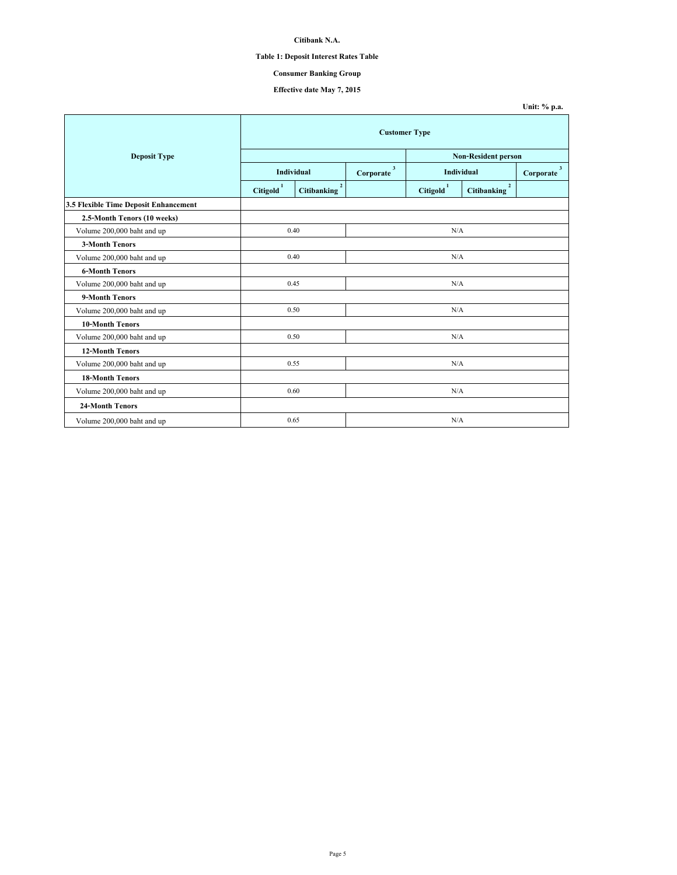# **Table 1: Deposit Interest Rates Table**

# **Consumer Banking Group**

**Effective date May 7, 2015**

|                                       |                     |                               |     |                     |                               | Unit: % p.a.              |  |  |
|---------------------------------------|---------------------|-------------------------------|-----|---------------------|-------------------------------|---------------------------|--|--|
|                                       |                     | <b>Customer Type</b>          |     |                     |                               |                           |  |  |
| <b>Deposit Type</b>                   |                     |                               |     |                     | <b>Non-Resident person</b>    |                           |  |  |
|                                       |                     | Individual                    |     | Individual          |                               | $\mathbf{3}$<br>Corporate |  |  |
|                                       | $\mbox{Citigold}^1$ | $\overline{2}$<br>Citibanking |     | $\text{Citigold}^1$ | $\overline{2}$<br>Citibanking |                           |  |  |
| 3.5 Flexible Time Deposit Enhancement |                     |                               |     |                     |                               |                           |  |  |
| 2.5-Month Tenors (10 weeks)           |                     |                               |     |                     |                               |                           |  |  |
| Volume 200,000 baht and up            |                     | 0.40<br>N/A                   |     |                     |                               |                           |  |  |
| <b>3-Month Tenors</b>                 |                     |                               |     |                     |                               |                           |  |  |
| Volume 200,000 baht and up            |                     | 0.40                          | N/A |                     |                               |                           |  |  |
| <b>6-Month Tenors</b>                 |                     |                               |     |                     |                               |                           |  |  |
| Volume 200,000 baht and up            |                     | 0.45                          |     | N/A                 |                               |                           |  |  |
| 9-Month Tenors                        |                     |                               |     |                     |                               |                           |  |  |
| Volume 200,000 baht and up            |                     | 0.50                          |     |                     | N/A                           |                           |  |  |
| <b>10-Month Tenors</b>                |                     |                               |     |                     |                               |                           |  |  |
| Volume 200,000 baht and up            |                     | 0.50                          |     |                     | N/A                           |                           |  |  |
| <b>12-Month Tenors</b>                |                     |                               |     |                     |                               |                           |  |  |
| Volume 200,000 baht and up            |                     | 0.55                          |     |                     | N/A                           |                           |  |  |
| <b>18-Month Tenors</b>                |                     |                               |     |                     |                               |                           |  |  |
| Volume 200,000 baht and up            |                     | 0.60                          |     | N/A                 |                               |                           |  |  |
| <b>24-Month Tenors</b>                |                     |                               |     |                     |                               |                           |  |  |
| Volume 200,000 baht and up            |                     | 0.65                          |     | N/A                 |                               |                           |  |  |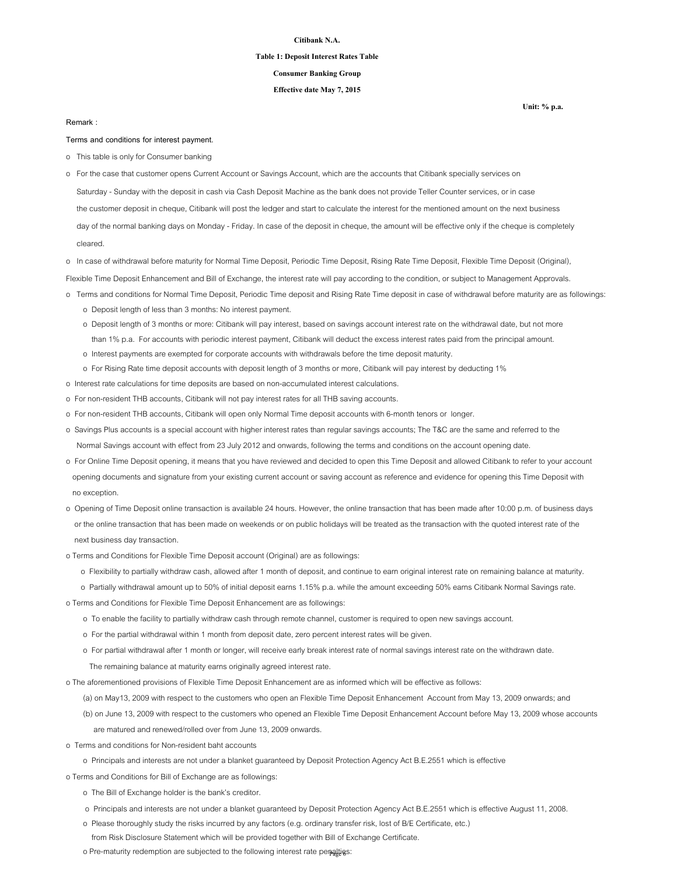#### **Table 1: Deposit Interest Rates Table**

### **Consumer Banking Group**

### **Effective date May 7, 2015**

#### **Remark :**

**Terms and conditions for interest payment.**

- o This table is only for Consumer banking
- Saturday Sunday with the deposit in cash via Cash Deposit Machine as the bank does not provide Teller Counter services, or in case the customer deposit in cheque, Citibank will post the ledger and start to calculate the interest for the mentioned amount on the next business day of the normal banking days on Monday - Friday. In case of the deposit in cheque, the amount will be effective only if the cheque is completely cleared. o For the case that customer opens Current Account or Savings Account, which are the accounts that Citibank specially services on
- o In case of withdrawal before maturity for Normal Time Deposit, Periodic Time Deposit, Rising Rate Time Deposit, Flexible Time Deposit (Original),

Flexible Time Deposit Enhancement and Bill of Exchange, the interest rate will pay according to the condition, or subject to Management Approvals.

- o Terms and conditions for Normal Time Deposit, Periodic Time deposit and Rising Rate Time deposit in case of withdrawal before maturity are as followings:
	- o Deposit length of less than 3 months: No interest payment.
	- o Deposit length of 3 months or more: Citibank will pay interest, based on savings account interest rate on the withdrawal date, but not more than 1% p.a. For accounts with periodic interest payment, Citibank will deduct the excess interest rates paid from the principal amount.
	- o Interest payments are exempted for corporate accounts with withdrawals before the time deposit maturity.
	- o For Rising Rate time deposit accounts with deposit length of 3 months or more, Citibank will pay interest by deducting 1%
- o Interest rate calculations for time deposits are based on non-accumulated interest calculations.
- o For non-resident THB accounts, Citibank will not pay interest rates for all THB saving accounts.
- o For non-resident THB accounts, Citibank will open only Normal Time deposit accounts with 6-month tenors or longer.
- o Savings Plus accounts is a special account with higher interest rates than regular savings accounts; The T&C are the same and referred to the Normal Savings account with effect from 23 July 2012 and onwards, following the terms and conditions on the account opening date.
- o For Online Time Deposit opening, it means that you have reviewed and decided to open this Time Deposit and allowed Citibank to refer to your account opening documents and signature from your existing current account or saving account as reference and evidence for opening this Time Deposit with no exception.
- o Opening of Time Deposit online transaction is available 24 hours. However, the online transaction that has been made after 10:00 p.m. of business days or the online transaction that has been made on weekends or on public holidays will be treated as the transaction with the quoted interest rate of the next business day transaction.
- o Terms and Conditions for Flexible Time Deposit account (Original) are as followings:
	- o Flexibility to partially withdraw cash, allowed after 1 month of deposit, and continue to earn original interest rate on remaining balance at maturity.
- o Partially withdrawal amount up to 50% of initial deposit earns 1.15% p.a. while the amount exceeding 50% earns Citibank Normal Savings rate.

o Terms and Conditions for Flexible Time Deposit Enhancement are as followings:

- o To enable the facility to partially withdraw cash through remote channel, customer is required to open new savings account.
- o For the partial withdrawal within 1 month from deposit date, zero percent interest rates will be given.
- o For partial withdrawal after 1 month or longer, will receive early break interest rate of normal savings interest rate on the withdrawn date.
	- The remaining balance at maturity earns originally agreed interest rate.
- o The aforementioned provisions of Flexible Time Deposit Enhancement are as informed which will be effective as follows:

(a) on May13, 2009 with respect to the customers who open an Flexible Time Deposit Enhancement Account from May 13, 2009 onwards; and

- (b) on June 13, 2009 with respect to the customers who opened an Flexible Time Deposit Enhancement Account before May 13, 2009 whose accounts are matured and renewed/rolled over from June 13, 2009 onwards.
- o Terms and conditions for Non-resident baht accounts
	- o Principals and interests are not under a blanket guaranteed by Deposit Protection Agency Act B.E.2551 which is effective

o Terms and Conditions for Bill of Exchange are as followings:

- o The Bill of Exchange holder is the bank's creditor.
- o Principals and interests are not under a blanket guaranteed by Deposit Protection Agency Act B.E.2551 which is effective August 11, 2008.
- o Please thoroughly study the risks incurred by any factors (e.g. ordinary transfer risk, lost of B/E Certificate, etc.)
	- from Risk Disclosure Statement which will be provided together with Bill of Exchange Certificate.

o Pre-maturity redemption are subjected to the following interest rate penalties: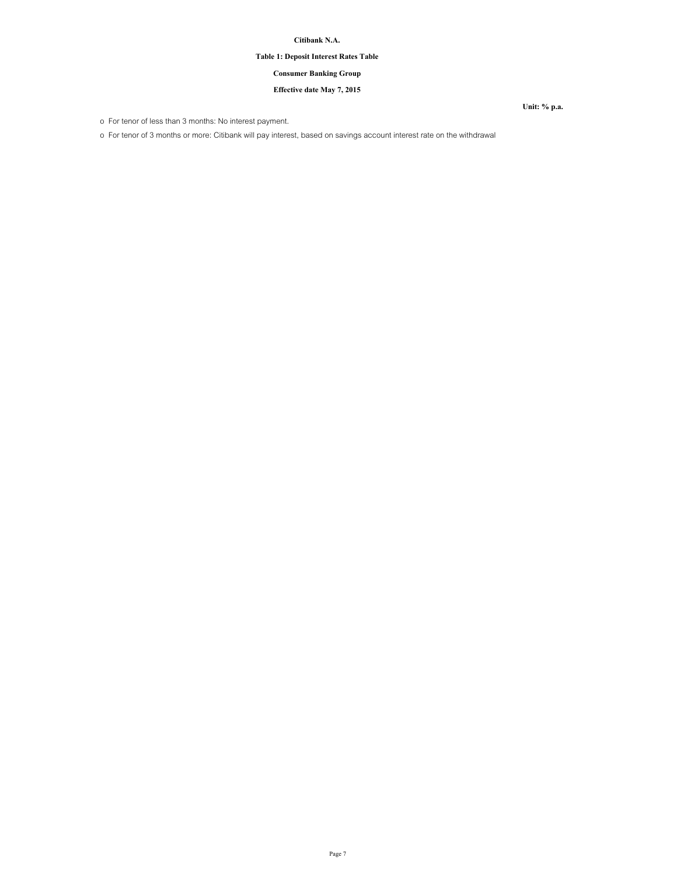# **Table 1: Deposit Interest Rates Table**

## **Consumer Banking Group**

## **Effective date May 7, 2015**

o For tenor of less than 3 months: No interest payment.

o For tenor of 3 months or more: Citibank will pay interest, based on savings account interest rate on the withdrawal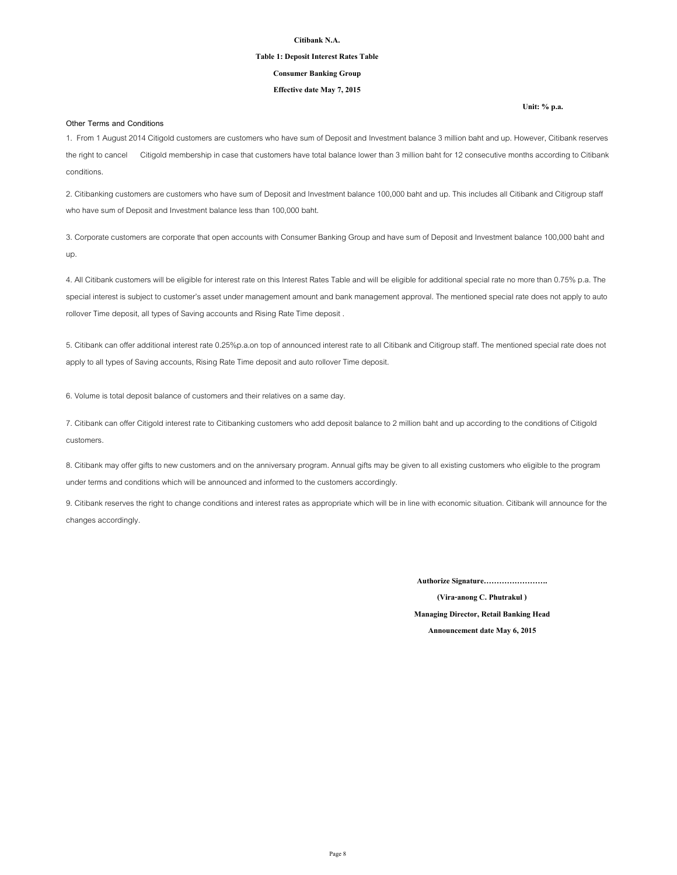#### **Table 1: Deposit Interest Rates Table**

### **Consumer Banking Group**

### **Effective date May 7, 2015**

#### **Other Terms and Conditions**

1. From 1 August 2014 Citigold customers are customers who have sum of Deposit and Investment balance 3 million baht and up. However, Citibank reserves the right to cancel Citigold membership in case that customers have total balance lower than 3 million baht for 12 consecutive months according to Citibank conditions.

2. Citibanking customers are customers who have sum of Deposit and Investment balance 100,000 baht and up. This includes all Citibank and Citigroup staff who have sum of Deposit and Investment balance less than 100,000 baht.

3. Corporate customers are corporate that open accounts with Consumer Banking Group and have sum of Deposit and Investment balance 100,000 baht and up.

4. All Citibank customers will be eligible for interest rate on this Interest Rates Table and will be eligible for additional special rate no more than 0.75% p.a. The special interest is subject to customer's asset under management amount and bank management approval. The mentioned special rate does not apply to auto rollover Time deposit, all types of Saving accounts and Rising Rate Time deposit .

5. Citibank can offer additional interest rate 0.25%p.a.on top of announced interest rate to all Citibank and Citigroup staff. The mentioned special rate does not apply to all types of Saving accounts, Rising Rate Time deposit and auto rollover Time deposit.

6. Volume is total deposit balance of customers and their relatives on a same day.

7. Citibank can offer Citigold interest rate to Citibanking customers who add deposit balance to 2 million baht and up according to the conditions of Citigold customers.

8. Citibank may offer gifts to new customers and on the anniversary program. Annual gifts may be given to all existing customers who eligible to the program under terms and conditions which will be announced and informed to the customers accordingly.

9. Citibank reserves the right to change conditions and interest rates as appropriate which will be in line with economic situation. Citibank will announce for the changes accordingly.

**Authorize Signature…………………….**

**(Vira-anong C. Phutrakul ) Managing Director, Retail Banking Head Announcement date May 6, 2015**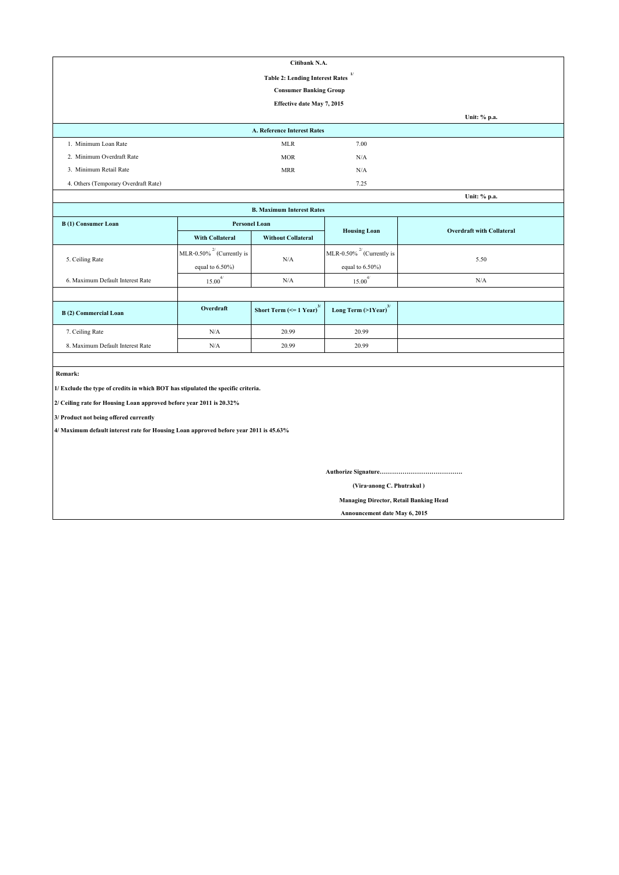| Citibank N.A.                        |                                              |      |              |  |  |  |  |
|--------------------------------------|----------------------------------------------|------|--------------|--|--|--|--|
|                                      | 1/<br><b>Table 2: Lending Interest Rates</b> |      |              |  |  |  |  |
|                                      | <b>Consumer Banking Group</b>                |      |              |  |  |  |  |
| Effective date May 7, 2015           |                                              |      |              |  |  |  |  |
|                                      |                                              |      | Unit: % p.a. |  |  |  |  |
|                                      | <b>A. Reference Interest Rates</b>           |      |              |  |  |  |  |
| 1. Minimum Loan Rate                 | MLR                                          | 7.00 |              |  |  |  |  |
| 2. Minimum Overdraft Rate            | <b>MOR</b>                                   | N/A  |              |  |  |  |  |
| 3. Minimum Retail Rate               | <b>MRR</b>                                   | N/A  |              |  |  |  |  |
| 4. Others (Temporary Overdraft Rate) |                                              | 7.25 |              |  |  |  |  |
|                                      |                                              |      | Unit: % p.a. |  |  |  |  |

| <b>B. Maximum Interest Rates</b> |                                 |                                               |                                     |                                  |  |  |  |  |
|----------------------------------|---------------------------------|-----------------------------------------------|-------------------------------------|----------------------------------|--|--|--|--|
| B(1) Consumer Loan               |                                 | <b>Personel Loan</b>                          | <b>Housing Loan</b>                 | <b>Overdraft with Collateral</b> |  |  |  |  |
|                                  | <b>With Collateral</b>          | <b>Without Collateral</b>                     |                                     |                                  |  |  |  |  |
| 5. Ceiling Rate                  | MLR-0.50% $^{27}$ (Currently is | N/A                                           | MLR-0.50% $^{27}$ (Currently is     | 5.50                             |  |  |  |  |
|                                  | equal to $6.50\%$ )             |                                               | equal to $6.50\%$ )                 |                                  |  |  |  |  |
| 6. Maximum Default Interest Rate | $15.00^{4/}$                    | N/A                                           | 4/<br>15.00                         | N/A                              |  |  |  |  |
|                                  |                                 |                                               |                                     |                                  |  |  |  |  |
| B(2) Commercial Loan             | Overdraft                       | Short Term $\left(\leq 1$ Year) <sup>3/</sup> | Long Term $(>1$ Year) <sup>3/</sup> |                                  |  |  |  |  |
| 7. Ceiling Rate                  | N/A                             | 20.99                                         | 20.99                               |                                  |  |  |  |  |
| 8. Maximum Default Interest Rate | N/A                             | 20.99                                         | 20.99                               |                                  |  |  |  |  |

 **Remark:**

**1/ Exclude the type of credits in which BOT has stipulated the specific criteria.**

**2/ Ceiling rate for Housing Loan approved before year 2011 is 20.32%**

**3/ Product not being offered currently**

**4/ Maximum default interest rate for Housing Loan approved before year 2011 is 45.63%**

**Authorize Signature………………………………….**

 **(Vira-anong C. Phutrakul )**

 **Managing Director, Retail Banking Head**

 **Announcement date May 6, 2015**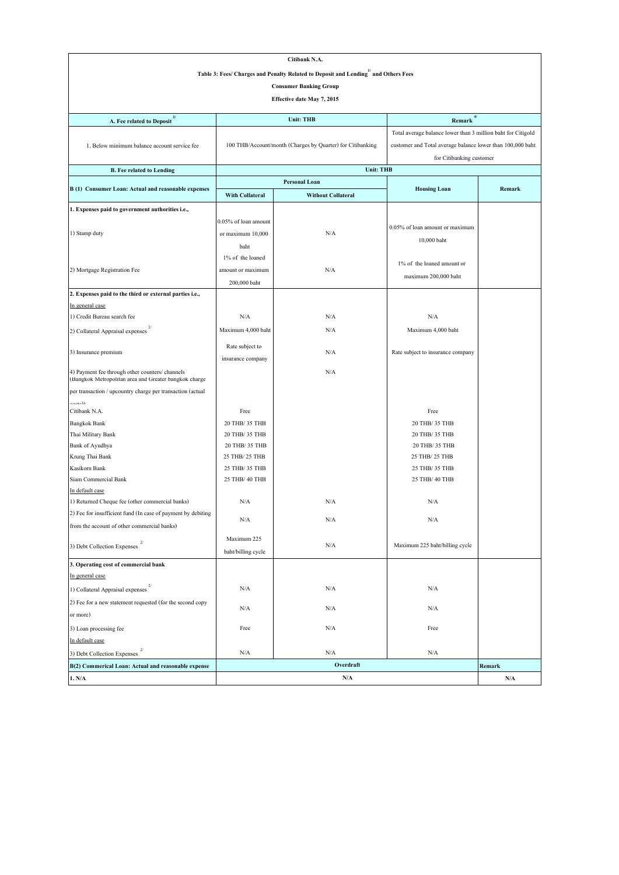| Citibank N.A.                                                                                            |                          |                                                                                   |                                                              |           |  |  |  |  |
|----------------------------------------------------------------------------------------------------------|--------------------------|-----------------------------------------------------------------------------------|--------------------------------------------------------------|-----------|--|--|--|--|
|                                                                                                          |                          | Table 3: Fees/ Charges and Penalty Related to Deposit and Lending and Others Fees |                                                              |           |  |  |  |  |
|                                                                                                          |                          | <b>Consumer Banking Group</b>                                                     |                                                              |           |  |  |  |  |
|                                                                                                          |                          |                                                                                   |                                                              |           |  |  |  |  |
| Effective date May 7, 2015                                                                               |                          |                                                                                   |                                                              |           |  |  |  |  |
| A. Fee related to Deposit $^{\mbox{\scriptsize 3}}$                                                      |                          | <b>Unit: THB</b>                                                                  | 4/<br><b>Remark</b>                                          |           |  |  |  |  |
|                                                                                                          |                          |                                                                                   | Total average balance lower than 3 million baht for Citigold |           |  |  |  |  |
| 1. Below minimum balance account service fee                                                             |                          | 100 THB/Account/month (Charges by Quarter) for Citibanking                        | customer and Total average balance lower than 100,000 baht   |           |  |  |  |  |
|                                                                                                          |                          |                                                                                   | for Citibanking customer                                     |           |  |  |  |  |
| <b>B.</b> Fee related to Lending                                                                         |                          | <b>Unit: THB</b>                                                                  |                                                              |           |  |  |  |  |
|                                                                                                          |                          | Personal Loan                                                                     |                                                              |           |  |  |  |  |
| B (1) Consumer Loan: Actual and reasonable expenses                                                      | With Collateral          | <b>Without Collateral</b>                                                         | <b>Housing Loan</b>                                          | Remark    |  |  |  |  |
| 1. Expenses paid to government authorities i.e.,                                                         |                          |                                                                                   |                                                              |           |  |  |  |  |
|                                                                                                          | 0.05% of loan amount     |                                                                                   |                                                              |           |  |  |  |  |
| 1) Stamp duty                                                                                            | or maximum 10,000        | N/A                                                                               | 0.05% of loan amount or maximum                              |           |  |  |  |  |
|                                                                                                          |                          |                                                                                   | 10,000 baht                                                  |           |  |  |  |  |
|                                                                                                          | baht<br>1% of the loaned |                                                                                   |                                                              |           |  |  |  |  |
|                                                                                                          |                          |                                                                                   | 1% of the loaned amount or                                   |           |  |  |  |  |
| 2) Mortgage Registration Fee                                                                             | amount or maximum        | N/A                                                                               | maximum 200,000 baht                                         |           |  |  |  |  |
|                                                                                                          | 200,000 baht             |                                                                                   |                                                              |           |  |  |  |  |
| 2. Expenses paid to the third or external parties i.e.,                                                  |                          |                                                                                   |                                                              |           |  |  |  |  |
| In general case<br>1) Credit Bureau search fee                                                           | N/A                      | N/A                                                                               | N/A                                                          |           |  |  |  |  |
|                                                                                                          |                          |                                                                                   |                                                              |           |  |  |  |  |
| 2) Collateral Appraisal expenses                                                                         | Maximum 4,000 baht       | N/A                                                                               | Maximum 4,000 baht                                           |           |  |  |  |  |
| 3) Insurance premium                                                                                     | Rate subject to          | N/A                                                                               | Rate subject to insurance company                            |           |  |  |  |  |
|                                                                                                          | insurance company        |                                                                                   |                                                              |           |  |  |  |  |
| 4) Payment fee through other counters/ channels<br>(Bangkok Metropolitan area and Greater bangkok charge |                          | N/A                                                                               |                                                              |           |  |  |  |  |
| per transaction / upcountry charge per transaction (actual                                               |                          |                                                                                   |                                                              |           |  |  |  |  |
| أأأمغممه                                                                                                 |                          |                                                                                   |                                                              |           |  |  |  |  |
| Citibank N.A.                                                                                            | Free                     |                                                                                   | Free                                                         |           |  |  |  |  |
| <b>Bangkok Bank</b>                                                                                      | 20 THB/ 35 THB           |                                                                                   | 20 THB/ 35 THB                                               |           |  |  |  |  |
| Thai Military Bank                                                                                       | 20 THB/ 35 THB           |                                                                                   | 20 THB/ 35 THB                                               |           |  |  |  |  |
| Bank of Ayudhya                                                                                          | 20 THB/ 35 THB           |                                                                                   | 20 THB/ 35 THB                                               |           |  |  |  |  |
| Krung Thai Bank                                                                                          | 25 THB/ 25 THB           |                                                                                   | 25 THB/ 25 THB                                               |           |  |  |  |  |
| Kasikorn Bank<br>Siam Commercial Bank                                                                    | 25 THB/ 35 THB           |                                                                                   | 25 THB/ 35 THB                                               |           |  |  |  |  |
|                                                                                                          | 25 THB/ 40 THB           |                                                                                   | 25 THB/ 40 THB                                               |           |  |  |  |  |
| In default case<br>1) Returned Cheque fee (other commercial banks)                                       | N/A                      | N/A                                                                               | N/A                                                          |           |  |  |  |  |
| 2) Fee for insufficient fund (In case of payment by debiting                                             |                          |                                                                                   |                                                              |           |  |  |  |  |
| from the account of other commercial banks)                                                              | N/A                      | N/A                                                                               | N/A                                                          |           |  |  |  |  |
|                                                                                                          | Maximum 225              |                                                                                   |                                                              |           |  |  |  |  |
| 3) Debt Collection Expenses $^{2/}$                                                                      | baht/billing cycle       | $\rm N/A$                                                                         | Maximum 225 baht/billing cycle                               |           |  |  |  |  |
| 3. Operating cost of commercial bank                                                                     |                          |                                                                                   |                                                              |           |  |  |  |  |
| In general case                                                                                          |                          |                                                                                   |                                                              |           |  |  |  |  |
| 1) Collateral Appraisal expenses                                                                         | N/A                      | $\rm N/A$                                                                         | N/A                                                          |           |  |  |  |  |
| 2) Fee for a new statement requested (for the second copy                                                |                          |                                                                                   |                                                              |           |  |  |  |  |
| or more)                                                                                                 | N/A                      | N/A                                                                               | N/A                                                          |           |  |  |  |  |
| 3) Loan processing fee                                                                                   | Free                     | N/A                                                                               | Free                                                         |           |  |  |  |  |
| In default case                                                                                          |                          |                                                                                   |                                                              |           |  |  |  |  |
| 3) Debt Collection Expenses                                                                              | N/A                      | $\rm N/A$                                                                         | N/A                                                          |           |  |  |  |  |
| B(2) Commerical Loan: Actual and reasonable expense                                                      |                          | Overdraft                                                                         |                                                              | Remark    |  |  |  |  |
| 1. N/A                                                                                                   |                          | N/A                                                                               |                                                              | $\rm N/A$ |  |  |  |  |
|                                                                                                          |                          |                                                                                   |                                                              |           |  |  |  |  |